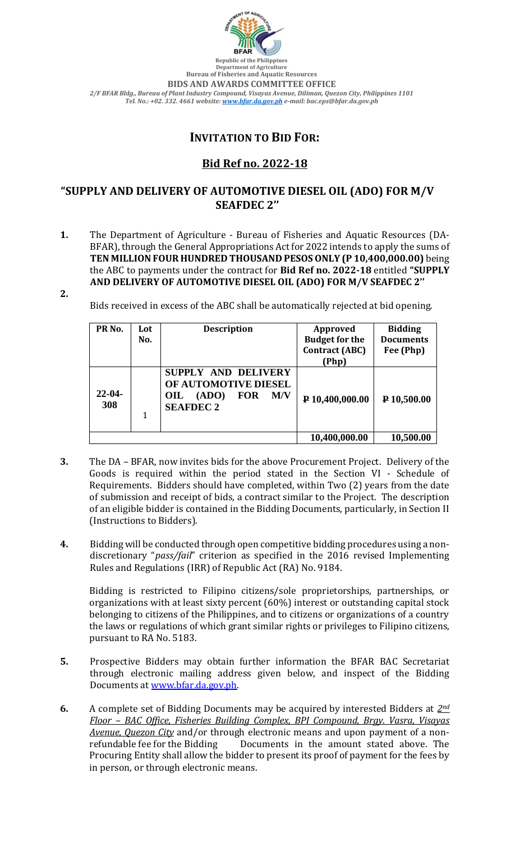

**Department of Agriculture Bureau of Fisheries and Aquatic Resources BIDS AND AWARDS COMMITTEE OFFICE** *2/F BFAR Bldg., Bureau of Plant Industry Compound, Visayas Avenue, Diliman, Quezon City, Philippines 1101 Tel. No.: +02. 332. 4661 website[: www.bfar.da.gov.ph](http://www.bfar.da.gov.ph/) e-mail: bac.eps@bfar.da.gov.ph*

## **INVITATION TO BID FOR:**

## **Bid Ref no. 2022-18**

## **"SUPPLY AND DELIVERY OF AUTOMOTIVE DIESEL OIL (ADO) FOR M/V SEAFDEC 2''**

- **1.** The Department of Agriculture Bureau of Fisheries and Aquatic Resources (DA-BFAR), through the General Appropriations Act for 2022 intends to apply the sums of **TEN MILLION FOUR HUNDRED THOUSAND PESOS ONLY (P 10,400,000.00)** being the ABC to payments under the contract for **Bid Ref no. 2022-18** entitled **"SUPPLY AND DELIVERY OF AUTOMOTIVE DIESEL OIL (ADO) FOR M/V SEAFDEC 2''**
- **2.**

Bids received in excess of the ABC shall be automatically rejected at bid opening.

| PR <sub>No.</sub>  | Lot<br>No. | <b>Description</b>                                                                                   | <b>Approved</b><br><b>Budget for the</b><br><b>Contract (ABC)</b><br>(Php) | <b>Bidding</b><br><b>Documents</b><br>Fee (Php) |
|--------------------|------------|------------------------------------------------------------------------------------------------------|----------------------------------------------------------------------------|-------------------------------------------------|
| $22 - 04 -$<br>308 |            | SUPPLY AND DELIVERY<br>OF AUTOMOTIVE DIESEL<br><b>FOR</b><br>(ADO)<br>M/V<br>OIL<br><b>SEAFDEC 2</b> | P 10,400,000.00                                                            | P 10,500.00                                     |
|                    |            |                                                                                                      | 10,400,000.00                                                              | 10,500.00                                       |

- **3.** The DA BFAR, now invites bids for the above Procurement Project. Delivery of the Goods is required within the period stated in the Section VI - Schedule of Requirements. Bidders should have completed, within Two (2) years from the date of submission and receipt of bids, a contract similar to the Project. The description of an eligible bidder is contained in the Bidding Documents, particularly, in Section II (Instructions to Bidders).
- **4.** Bidding will be conducted through open competitive bidding procedures using a nondiscretionary "*pass/fail*" criterion as specified in the 2016 revised Implementing Rules and Regulations (IRR) of Republic Act (RA) No. 9184.

Bidding is restricted to Filipino citizens/sole proprietorships, partnerships, or organizations with at least sixty percent (60%) interest or outstanding capital stock belonging to citizens of the Philippines, and to citizens or organizations of a country the laws or regulations of which grant similar rights or privileges to Filipino citizens, pursuant to RA No. 5183.

- **5.** Prospective Bidders may obtain further information the BFAR BAC Secretariat through electronic mailing address given below, and inspect of the Bidding Documents at [www.bfar.da.gov.ph.](http://www.bfar.da.gov.ph/)
- **6.** A complete set of Bidding Documents may be acquired by interested Bidders at *2nd Floor – BAC Office, Fisheries Building Complex, BPI Compound, Brgy. Vasra, Visayas Avenue, Quezon City* and/or through electronic means and upon payment of a nonrefundable fee for the Bidding Documents in the amount stated above. The Procuring Entity shall allow the bidder to present its proof of payment for the fees by in person, or through electronic means.